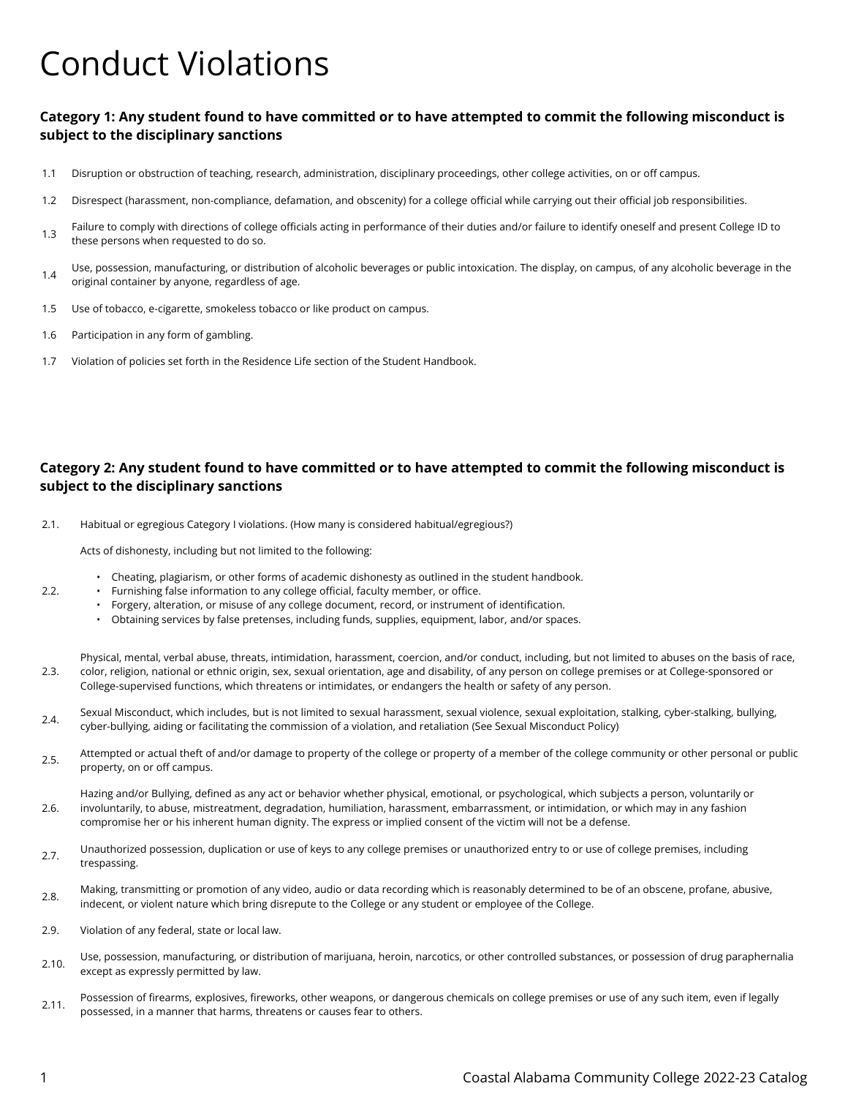## Conduct Violations

## **Category 1: Any student found to have committed or to have attempted to commit the following misconduct is subject to the disciplinary sanctions**

- 1.1 Disruption or obstruction of teaching, research, administration, disciplinary proceedings, other college activities, on or off campus.
- 1.2 Disrespect (harassment, non-compliance, defamation, and obscenity) for a college official while carrying out their official job responsibilities.
- 1.3 Failure to comply with directions of college officials acting in performance of their duties and/or failure to identify oneself and present College ID to these persons when requested to do so.
- 1.4 Use, possession, manufacturing, or distribution of alcoholic beverages or public intoxication. The display, on campus, of any alcoholic beverage in the original container by anyone, regardless of age.
- 1.5 Use of tobacco, e-cigarette, smokeless tobacco or like product on campus.
- 1.6 Participation in any form of gambling.
- 1.7 Violation of policies set forth in the Residence Life section of the Student Handbook.

## **Category 2: Any student found to have committed or to have attempted to commit the following misconduct is subject to the disciplinary sanctions**

2.1. Habitual or egregious Category I violations. (How many is considered habitual/egregious?)

Acts of dishonesty, including but not limited to the following:

- Cheating, plagiarism, or other forms of academic dishonesty as outlined in the student handbook.
- Furnishing false information to any college official, faculty member, or office.
- Forgery, alteration, or misuse of any college document, record, or instrument of identification.
- Obtaining services by false pretenses, including funds, supplies, equipment, labor, and/or spaces.

2.3. Physical, mental, verbal abuse, threats, intimidation, harassment, coercion, and/or conduct, including, but not limited to abuses on the basis of race, color, religion, national or ethnic origin, sex, sexual orientation, age and disability, of any person on college premises or at College-sponsored or College-supervised functions, which threatens or intimidates, or endangers the health or safety of any person.

- 2.4. Sexual Misconduct, which includes, but is not limited to sexual harassment, sexual violence, sexual exploitation, stalking, cyber-stalking, bullying, cyber-bullying, aiding or facilitating the commission of a violation, and retaliation (See Sexual Misconduct Policy)
- 2.5. Attempted or actual theft of and/or damage to property of the college or property of a member of the college community or other personal or public property, on or off campus.

2.6. Hazing and/or Bullying, defined as any act or behavior whether physical, emotional, or psychological, which subjects a person, voluntarily or involuntarily, to abuse, mistreatment, degradation, humiliation, harassment, embarrassment, or intimidation, or which may in any fashion compromise her or his inherent human dignity. The express or implied consent of the victim will not be a defense.

- 2.7. Unauthorized possession, duplication or use of keys to any college premises or unauthorized entry to or use of college premises, including trespassing.
- 2.8. Making, transmitting or promotion of any video, audio or data recording which is reasonably determined to be of an obscene, profane, abusive, indecent, or violent nature which bring disrepute to the College or any student or employee of the College.
- 2.9. Violation of any federal, state or local law.
- 2.10. Use, possession, manufacturing, or distribution of marijuana, heroin, narcotics, or other controlled substances, or possession of drug paraphernalia except as expressly permitted by law.
- 2.11. Possession of firearms, explosives, fireworks, other weapons, or dangerous chemicals on college premises or use of any such item, even if legally possessed, in a manner that harms, threatens or causes fear to others.

2.2.